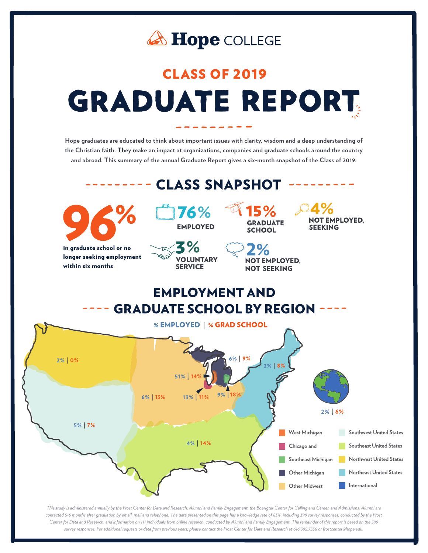

# **CLASS OF 2019 GRADUATE REPORT**

**Hope graduates are educated to think about important issues with clarity, wisdom and a deep understanding of the Christian faith. They make an impact at organizations, companies and graduate schools around the country and abroad. This summary of the annual Graduate Report gives a six-month snapshot of the Class of 2019.**

#### CLASS SNAPSHOT



in graduate school or no longer seeking employment within six months



**VOLUNTARY** 

**SERVICE** 



15% **GRADUATE SCHOOL** 

**NOT EMPLOYED,** 

**NOT SEEKING** 

 $\mathcal{A}\%$ **NOT EMPLOYED. SEEKING** 

**EMPLOYMENT AND GRADUATE SCHOOL BY REGION** 



*This study is administered annually by the Frost Center for Data and Research, Alumni and Family Engagement, the Boerigter Center for Calling and Career, and Admissions. Alumni are contacted 5-6 months after graduation by email, mail and telephone. The data presented on this page has a knowledge rate of 83%, including 399 survey responses, conducted by the Frost Center for Data and Research, and information on 111 individuals from online research, conducted by Alumni and Family Engagement. The remainder of this report is based on the 399 survey responses. For additional requests or data from previous years, please contact the Frost Center for Data and Research at 616.395.7556 or frostcenter@hope.edu.*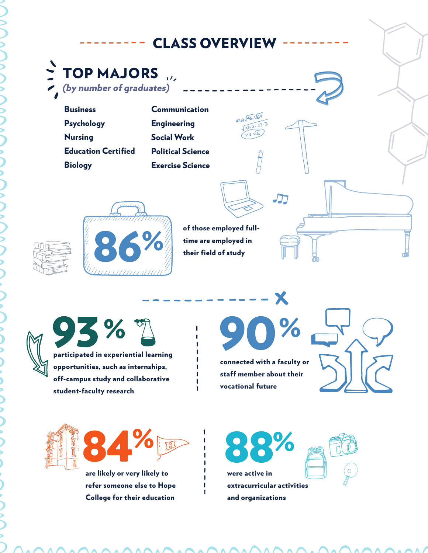# **CLASS OVERVIEW**

 $\sum_{i=1}^{n}$  TOP MAJORS  $\overline{11}$ 

> **Business** Psychology Nursing Education Certified **Biology**

Communication **Engineering** Social Work Political Science Exercise Science



of those employed fulltime are employed in their field of study

10 av 146 169

93%? participated in experiential learning opportunities, such as internships,

off-campus study and collaborative student-faculty research

 $\bullet$ 

X

connected with a faculty or staff member about their vocational future





are likely or very likely to refer someone else to Hope College for their education

were active in extracurricular activities and organizations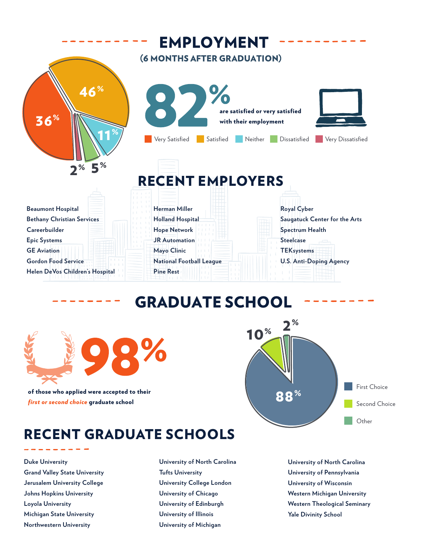

### **GRADUATE SCHOOL**



of those who applied were accepted to their *first or second choice* graduate school

First Choice Second Choice **Other** 88%  $10^{8} - \frac{2^{8}}{10^{10}}$ 

# RECENT GRADUATE SCHOOLS

**Duke University Grand Valley State University Jerusalem University College Johns Hopkins University Loyola University Michigan State University Northwestern University**

**University of North Carolina Tufts University University College London University of Chicago University of Edinburgh University of Illinois University of Michigan**

**University of North Carolina University of Pennsylvania University of Wisconsin Western Michigan University Western Theological Seminary Yale Divinity School**